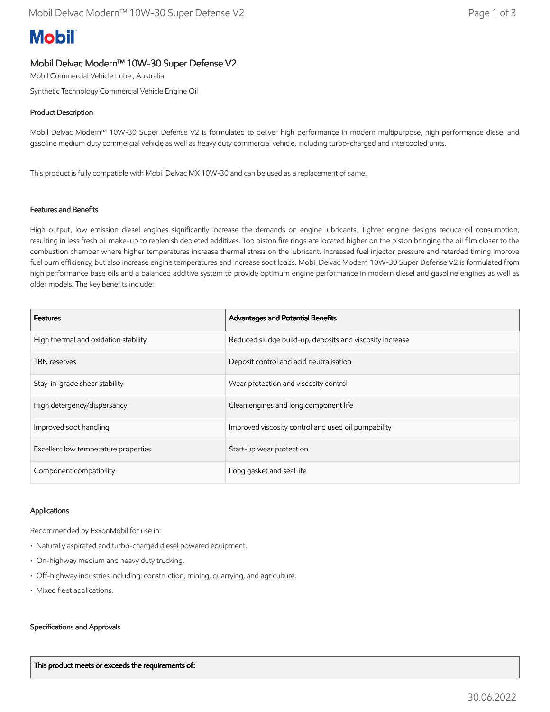# **Mobil**

## Mobil Delvac Modern™ 10W-30 Super Defense V2

Mobil Commercial Vehicle Lube , Australia

Synthetic Technology Commercial Vehicle Engine Oil

## Product Description

Mobil Delvac Modern™ 10W-30 Super Defense V2 is formulated to deliver high performance in modern multipurpose, high performance diesel and gasoline medium duty commercial vehicle as well as heavy duty commercial vehicle, including turbo-charged and intercooled units.

This product is fully compatible with Mobil Delvac MX 10W-30 and can be used as a replacement of same.

### Features and Benefits

High output, low emission diesel engines significantly increase the demands on engine lubricants. Tighter engine designs reduce oil consumption, resulting in less fresh oil make-up to replenish depleted additives. Top piston fire rings are located higher on the piston bringing the oil film closer to the combustion chamber where higher temperatures increase thermal stress on the lubricant. Increased fuel injector pressure and retarded timing improve fuel burn efficiency, but also increase engine temperatures and increase soot loads. Mobil Delvac Modern 10W-30 Super Defense V2 is formulated from high performance base oils and a balanced additive system to provide optimum engine performance in modern diesel and gasoline engines as well as older models. The key benefits include:

| <b>Features</b>                      | Advantages and Potential Benefits                        |
|--------------------------------------|----------------------------------------------------------|
| High thermal and oxidation stability | Reduced sludge build-up, deposits and viscosity increase |
| <b>TBN</b> reserves                  | Deposit control and acid neutralisation                  |
| Stay-in-grade shear stability        | Wear protection and viscosity control                    |
| High detergency/dispersancy          | Clean engines and long component life                    |
| Improved soot handling               | Improved viscosity control and used oil pumpability      |
| Excellent low temperature properties | Start-up wear protection                                 |
| Component compatibility              | Long gasket and seal life                                |

#### Applications

Recommended by ExxonMobil for use in:

- Naturally aspirated and turbo-charged diesel powered equipment.
- On-highway medium and heavy duty trucking.
- Off-highway industries including: construction, mining, quarrying, and agriculture.
- Mixed fleet applications.

#### Specifications and Approvals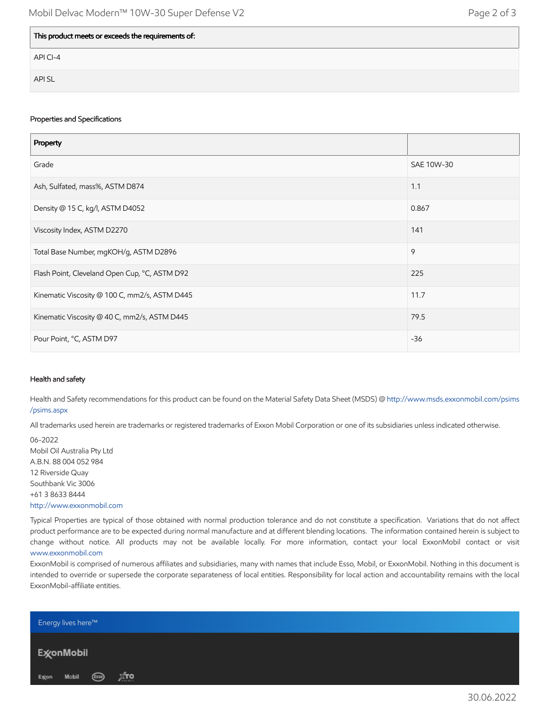| This product meets or exceeds the requirements of: |  |
|----------------------------------------------------|--|
| API CI-4                                           |  |
| <b>APISL</b>                                       |  |

#### Properties and Specifications

| Property                                      |            |
|-----------------------------------------------|------------|
| Grade                                         | SAE 10W-30 |
| Ash, Sulfated, mass%, ASTM D874               | 1.1        |
| Density @ 15 C, kg/l, ASTM D4052              | 0.867      |
| Viscosity Index, ASTM D2270                   | 141        |
| Total Base Number, mgKOH/g, ASTM D2896        | 9          |
| Flash Point, Cleveland Open Cup, °C, ASTM D92 | 225        |
| Kinematic Viscosity @ 100 C, mm2/s, ASTM D445 | 11.7       |
| Kinematic Viscosity @ 40 C, mm2/s, ASTM D445  | 79.5       |
| Pour Point, °C, ASTM D97                      | $-36$      |

#### Health and safety

Health and Safety recommendations for this product can be found on the Material Safety Data Sheet (MSDS) @ [http://www.msds.exxonmobil.com/psims](http://www.msds.exxonmobil.com/psims/psims.aspx) /psims.aspx

All trademarks used herein are trademarks or registered trademarks of Exxon Mobil Corporation or one of its subsidiaries unless indicated otherwise.

06-2022 Mobil Oil Australia Pty Ltd A.B.N. 88 004 052 984 12 Riverside Quay Southbank Vic 3006 +61 3 8633 8444 [http://www.exxonmobil.com](http://www.exxonmobil.com/)

Typical Properties are typical of those obtained with normal production tolerance and do not constitute a specification. Variations that do not affect product performance are to be expected during normal manufacture and at different blending locations. The information contained herein is subject to change without notice. All products may not be available locally. For more information, contact your local ExxonMobil contact or visit [www.exxonmobil.com](http://www.exxonmobil.com/)

ExxonMobil is comprised of numerous affiliates and subsidiaries, many with names that include Esso, Mobil, or ExxonMobil. Nothing in this document is intended to override or supersede the corporate separateness of local entities. Responsibility for local action and accountability remains with the local ExxonMobil-affiliate entities.